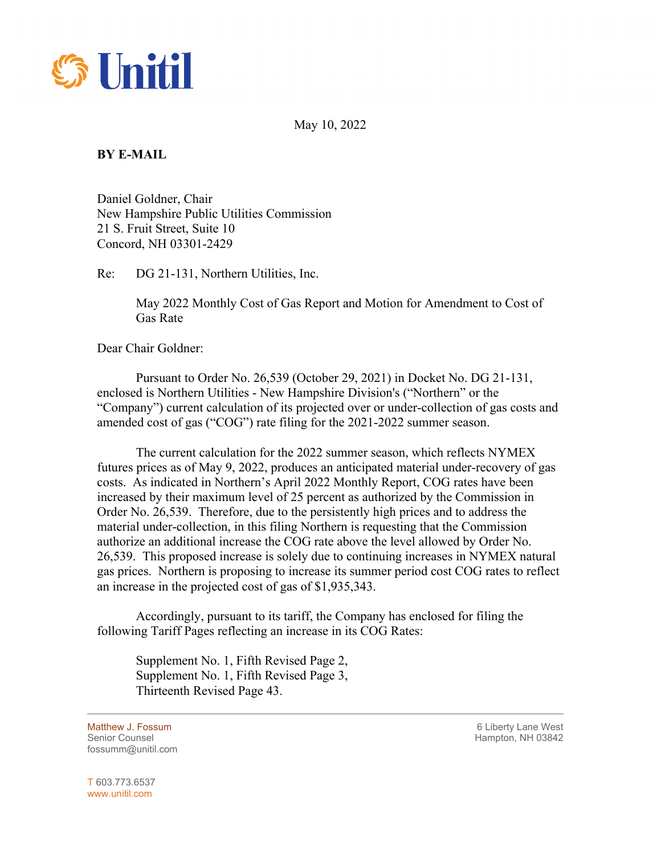

May 10, 2022

## **BY E-MAIL**

Daniel Goldner, Chair New Hampshire Public Utilities Commission 21 S. Fruit Street, Suite 10 Concord, NH 03301-2429

Re: DG 21-131, Northern Utilities, Inc.

May 2022 Monthly Cost of Gas Report and Motion for Amendment to Cost of Gas Rate

Dear Chair Goldner:

Pursuant to Order No. 26,539 (October 29, 2021) in Docket No. DG 21-131, enclosed is Northern Utilities - New Hampshire Division's ("Northern" or the "Company") current calculation of its projected over or under-collection of gas costs and amended cost of gas ("COG") rate filing for the 2021-2022 summer season.

The current calculation for the 2022 summer season, which reflects NYMEX futures prices as of May 9, 2022, produces an anticipated material under-recovery of gas costs. As indicated in Northern's April 2022 Monthly Report, COG rates have been increased by their maximum level of 25 percent as authorized by the Commission in Order No. 26,539. Therefore, due to the persistently high prices and to address the material under-collection, in this filing Northern is requesting that the Commission authorize an additional increase the COG rate above the level allowed by Order No. 26,539. This proposed increase is solely due to continuing increases in NYMEX natural gas prices. Northern is proposing to increase its summer period cost COG rates to reflect an increase in the projected cost of gas of \$1,935,343.

Accordingly, pursuant to its tariff, the Company has enclosed for filing the following Tariff Pages reflecting an increase in its COG Rates:

Supplement No. 1, Fifth Revised Page 2, Supplement No. 1, Fifth Revised Page 3, Thirteenth Revised Page 43.

fossumm@unitil.com

Matthew J. Fossum 6 Liberty Lane West Senior Counsel New York 19842 Senior Counsel Hampton, NH 03842

T 603.773.6537 www.unitil.com

 $\overline{a}$